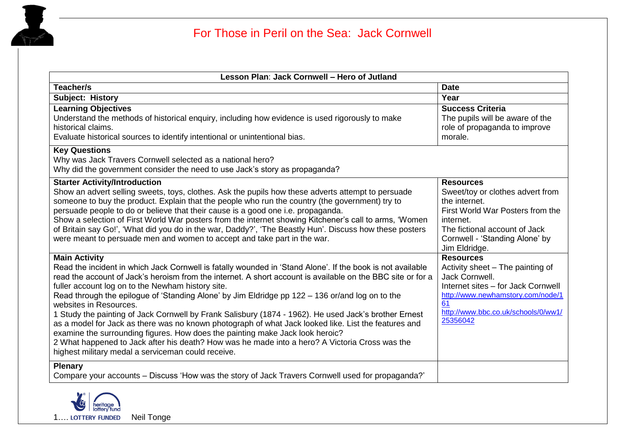

| Lesson Plan: Jack Cornwell - Hero of Jutland                                                                                                                                                                                                                                                                                                                                                                                                                                                                                                                                                                                                                                                                                                                                                                                                                                                  |                                                                                                                                                                                                            |
|-----------------------------------------------------------------------------------------------------------------------------------------------------------------------------------------------------------------------------------------------------------------------------------------------------------------------------------------------------------------------------------------------------------------------------------------------------------------------------------------------------------------------------------------------------------------------------------------------------------------------------------------------------------------------------------------------------------------------------------------------------------------------------------------------------------------------------------------------------------------------------------------------|------------------------------------------------------------------------------------------------------------------------------------------------------------------------------------------------------------|
| Teacher/s                                                                                                                                                                                                                                                                                                                                                                                                                                                                                                                                                                                                                                                                                                                                                                                                                                                                                     | <b>Date</b>                                                                                                                                                                                                |
| <b>Subject: History</b>                                                                                                                                                                                                                                                                                                                                                                                                                                                                                                                                                                                                                                                                                                                                                                                                                                                                       | Year                                                                                                                                                                                                       |
| <b>Learning Objectives</b><br>Understand the methods of historical enguiry, including how evidence is used rigorously to make<br>historical claims.<br>Evaluate historical sources to identify intentional or unintentional bias.                                                                                                                                                                                                                                                                                                                                                                                                                                                                                                                                                                                                                                                             | <b>Success Criteria</b><br>The pupils will be aware of the<br>role of propaganda to improve<br>morale.                                                                                                     |
| <b>Key Questions</b><br>Why was Jack Travers Cornwell selected as a national hero?<br>Why did the government consider the need to use Jack's story as propaganda?                                                                                                                                                                                                                                                                                                                                                                                                                                                                                                                                                                                                                                                                                                                             |                                                                                                                                                                                                            |
| <b>Starter Activity/Introduction</b><br>Show an advert selling sweets, toys, clothes. Ask the pupils how these adverts attempt to persuade<br>someone to buy the product. Explain that the people who run the country (the government) try to<br>persuade people to do or believe that their cause is a good one i.e. propaganda.<br>Show a selection of First World War posters from the internet showing Kitchener's call to arms, 'Women<br>of Britain say Go!', 'What did you do in the war, Daddy?', 'The Beastly Hun'. Discuss how these posters<br>were meant to persuade men and women to accept and take part in the war.                                                                                                                                                                                                                                                            | <b>Resources</b><br>Sweet/toy or clothes advert from<br>the internet.<br>First World War Posters from the<br>internet.<br>The fictional account of Jack<br>Cornwell - 'Standing Alone' by<br>Jim Eldridge. |
| <b>Main Activity</b><br>Read the incident in which Jack Cornwell is fatally wounded in 'Stand Alone'. If the book is not available<br>read the account of Jack's heroism from the internet. A short account is available on the BBC site or for a<br>fuller account log on to the Newham history site.<br>Read through the epilogue of 'Standing Alone' by Jim Eldridge pp 122 - 136 or/and log on to the<br>websites in Resources.<br>1 Study the painting of Jack Cornwell by Frank Salisbury (1874 - 1962). He used Jack's brother Ernest<br>as a model for Jack as there was no known photograph of what Jack looked like. List the features and<br>examine the surrounding figures. How does the painting make Jack look heroic?<br>2 What happened to Jack after his death? How was he made into a hero? A Victoria Cross was the<br>highest military medal a serviceman could receive. | <b>Resources</b><br>Activity sheet - The painting of<br>Jack Cornwell.<br>Internet sites - for Jack Cornwell<br>http://www.newhamstory.com/node/1<br>61<br>http://www.bbc.co.uk/schools/0/ww1/<br>25356042 |
| <b>Plenary</b><br>Compare your accounts – Discuss 'How was the story of Jack Travers Cornwell used for propaganda?'                                                                                                                                                                                                                                                                                                                                                                                                                                                                                                                                                                                                                                                                                                                                                                           |                                                                                                                                                                                                            |